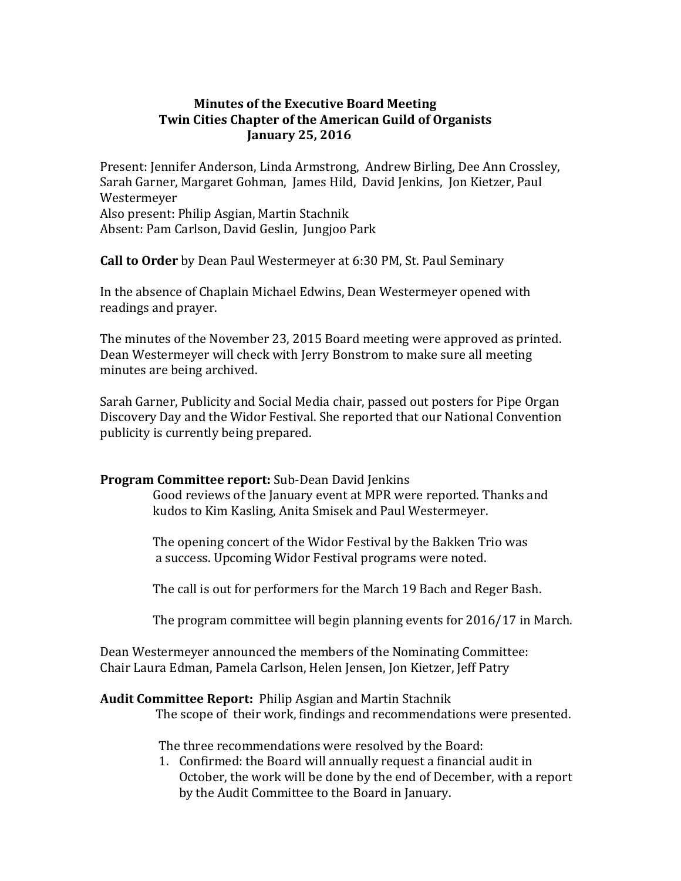# **Minutes of the Executive Board Meeting Twin Cities Chapter of the American Guild of Organists January 25, 2016**

Present: Jennifer Anderson, Linda Armstrong, Andrew Birling, Dee Ann Crossley, Sarah Garner, Margaret Gohman, James Hild, David Jenkins, Jon Kietzer, Paul Westermeyer Also present: Philip Asgian, Martin Stachnik Absent: Pam Carlson, David Geslin, Jungjoo Park

**Call to Order** by Dean Paul Westermeyer at 6:30 PM, St. Paul Seminary

In the absence of Chaplain Michael Edwins, Dean Westermeyer opened with readings and prayer.

The minutes of the November 23, 2015 Board meeting were approved as printed. Dean Westermeyer will check with Jerry Bonstrom to make sure all meeting minutes are being archived.

Sarah Garner, Publicity and Social Media chair, passed out posters for Pipe Organ Discovery Day and the Widor Festival. She reported that our National Convention publicity is currently being prepared.

## **Program Committee report:** Sub-Dean David Jenkins

 Good reviews of the January event at MPR were reported. Thanks and kudos to Kim Kasling, Anita Smisek and Paul Westermeyer.

 The opening concert of the Widor Festival by the Bakken Trio was a success. Upcoming Widor Festival programs were noted.

The call is out for performers for the March 19 Bach and Reger Bash.

The program committee will begin planning events for 2016/17 in March.

Dean Westermeyer announced the members of the Nominating Committee: Chair Laura Edman, Pamela Carlson, Helen Jensen, Jon Kietzer, Jeff Patry

## **Audit Committee Report:** Philip Asgian and Martin Stachnik

The scope of their work, findings and recommendations were presented.

The three recommendations were resolved by the Board:

1. Confirmed: the Board will annually request a financial audit in October, the work will be done by the end of December, with a report by the Audit Committee to the Board in January.